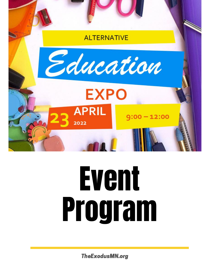

# Event Program

TheExodusMN.org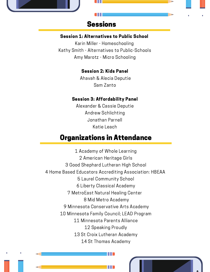## Sessions

**o** 

#### Session 1: Alternatives to Public School

Karin Miller - Homeschooling Kathy Smith - Alternatives to Public-Schools Amy Marotz - Micro Schooling

#### Session 2: Kids Panel

Ahavah & Alecia Deputie Sam Zanto

#### Session 3: Affordability Panel

Alexander & Cassie Deputie Andrew Schlichting Jonathan Parnell Katie Leach

## Organizations in Attendance

 Academy of Whole Learning American Heritage Girls Good Shephard Lutheran High School Home Based Educators Accrediting Association: HBEAA Laurel Community School Liberty Classical Academy MetroEast Natural Healing Center Mid Metro Academy Minnesota Conservative Arts Academy Minnesota Family Council; LEAD Program Minnesota Parents Alliance Speaking Proudly St Croix Lutheran Academy St Thomas Academy

 $\begin{smallmatrix} 1 & 1 & 1 \end{smallmatrix}$ 

**III**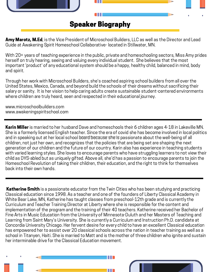

Amy Marotz, M.Ed, is the Vice President of Microschool Builders, LLC as well as the Director and Lead Guide at Awakening Spirit Homeschool Collaborative- located in Stillwater, MN.

With 20+ years of teaching experience in the public, private and homeschooling sectors, Miss Amy prides herself on truly hearing, seeing and valuing every individual student. She believes that the most important 'product' of any educational system should be a happy, healthy child, balanced in mind, body and spirit.

Through her work with Microschool Builders, she's coached aspiring school builders from all over the United States, Mexico, Canada, and beyond build the schools of their dreams without sacrificing their salary or sanity. It is her vision to help caring adults create sustainable student-centered environments where children are truly heard, seen and respected in their educational journey.

www.microschoolbuilders.com www.awakeningspiritschool.com

end is a remient, heensed English tedencr. Since the era or covid she has become inverved in local<br>and in speaking out at her local school board because she is passionate about the well-being of all Karin Miller is married to her husband Dave and homeschools their 6 children ages 4-18 in Lakeville MN. She is a formerly licensed English teacher. Since the era of covid she has become involved in local politics children, not just her own, and recognizes that the policies that are being set are shaping the next generation of our children and the future of our country. Karin also has experience in teaching students with varied learning styles. She loves to encourage parents who have struggling learners to not view their child as DYS-abled but as uniquely gifted. Above all, she'd has a passion to encourage parents to join the Homeschool Revolution of taking their children, their education, and the right to think for themselves back into their own hands.

Katherine Smith is a passionate educator from the Twin Cities who has been studying and practicing Classical education since 1998. As a teacher and one of the founders of Liberty Classical Academy in White Bear Lake, MN, Katherine has taught classes from preschool-12th grade and is currently the Curriculum and Teacher Training Director at Liberty where she is responsible for the content and implementation of the program and the training of their 40 teachers. Katherine received her Bachelor of Fine Arts in Music Education from the University of Minnesota-Duluth and her Masters of Teaching and Learning from Saint Mary's University. She is currently a Curriculum and Instruction Ph.D. candidate at Concordia University Chicago. Her fervent desire for every child to have an excellent Classical education has empowered her to assist over 20 classical schools across the nation in teacher training as well as a school in Titanyen, Haiti. She is married to Matt and is the mother of three children who ignite and sustain her interminable drive for the Classical Education movement.

 $\blacksquare$ 

 $\mathbb{H}$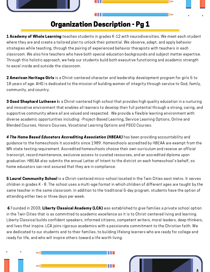

# Organization Description - Pg 1

**1 Academy of Whole Learning** teaches students in grades K-12 with neurodiversities. We meet each student where they are and create a tailored plan to unlock their potential. We observe, adapt, and apply behavior strategies while teaching, through the pairing of experienced behavior therapists with teachers in each classroom. We also hire teachers who have both special education backgrounds and subject matter expertise. Through this holistic approach, we help our students build both executive functioning and academic strength to excel inside and outside the classroom.

2 American Heritage Girls is a Christ-centered character and leadership development program for girls 5 to 18 years of age. AHG is dedicated to the mission of building women of integrity through service to God, family, community, and country.

**3 Good Shephard Lutheran i**s a Christ-centered high school that provides high quality education in a nurturing and innovative environment that enables all learners to develop their full potential through a strong, caring, and supportive community where all are valued and respected. We provide a flexible learning environment with diverse academic opportunities including: -Project-Based Learning, Service Learning Options, Online and Blended Courses, Honors Courses, Vocational Learning Options and PSEO Courses.

4 The Home Based Educators Accrediting Association (HBEAA) has been providing accountability and guidance to the homeschools it accredits since 1989. Homeschools accredited by HBEAA are exempt from the MN state testing requirement. Accredited homeschools choose their own curriculum and receive an official transcript, record maintenance, exclusive access to curated resources, and an accredited diploma upon graduation. HBEAA also submits the annual Letter of Intent to the district on each homeschool's behalf, so home educators can rest assured that they are in compliance.

**5 Laurel Community School** is a Christ-centered micro-school located in the Twin Cities east metro. It serves children in grades K - 8. The school uses a multi-age format in which children of different ages are taught by the same teacher in the same classroom. In addition to the traditional 5-day program, students have the option of attending either two or three days per week.

6 Founded in 2003, Liberty Classical Academy (LCA) was established to give families a private school option in the Twin Cities that is as committed to academic excellence as it is to Christ-centered living and learning. Liberty Classical builds confident speakers, informed citizens, competent writers, moral leaders, deep thinkers, and lives that inspire. LCA joins rigorous academics with a passionate commitment to the Christian faith. We are dedicated to our students and to their families, to building lifelong learners who are ready for college and ready for life, and who will inspire others toward a life worth living.

 $\mathbf{H}$ 

**HI**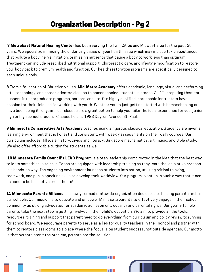# Organization Description - Pg 2

**7 MetroEast Natural Healing Center** has been serving the Twin Cities and Midwest area for the past 35 years. We specialize in finding the underlying cause of your health issue which may include toxic substances that pollute a body, nerve irritation, or missing nutrients that cause a body to work less than optimum. Treatment can include prescribed nutritional support, Chiropractic care, and lifestyle modification to restore your body back to premium health and function. Our health restoration programs are specifically designed to each unique body.

8 From a foundation of Christian values, **Mid-Metro Academy** offers academic, language, visual and performing arts, technology, and career-oriented classes to homeschooled students in grades 7 – 12, preparing them for success in undergraduate programs, careers, and life. Our highly qualified, personable instructors have a passion for their field and for working with youth. Whether you're just getting started with homeschooling or have been doing it for years, our classes are a great option to help you tailor the ideal experience for your junior high or high school student. Classes held at 1983 Dayton Avenue, St. Paul.

9 Minnesota Conservative Arts Academy teaches using a rigorous classical education. Students are given a learning environment that is honest and consistent, with weekly assessments on their daily courses. Our curriculum includes Hillsdale history, civics and literacy, Singapore mathematics, art, music, and Bible study. We also offer affordable tuition for students as well.

10 Minnesota Family Council's LEAD Program is a teen leadership camp rooted in the idea that the best way to learn something is to do it. Teens are equipped with leadership training as they learn the legislative process in a hands-on way. The engaging environment launches students into action, utilizing critical thinking, teamwork, and public speaking skills to develop their worldview. Our program is set up in such a way that it can be used to build elective credit hours!

11 Minnesota Parents Alliance is a newly formed statewide organization dedicated to helping parents reclaim our schools. Our mission is to educate and empower Minnesota parents to effectively engage in their school community as strong advocates for academic achievement, equality and parental rights. Our goal is to help parents take the next step in getting involved in their child's education. We aim to provide all the tools, resources, training and support that parent need to do everything from curriculum and policy review to running for school board. We encourage parents to serve as allies for quality teachers in their school and partner with them to restore classrooms to a place where the focus is on student success, not outside agendas. Our motto is that parents aren't the problem, parents are the solution.

**BB**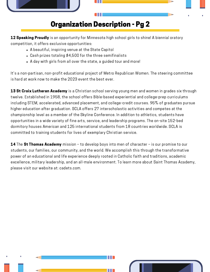

# Organization Description - Pg 2

12 Speaking Proudly is an opportunity for Minnesota high school girls to shine! A biennial oratory competition, it offers exclusive opportunities:

- A beautiful, inspiring venue at the State Capitol
- Cash prizes totaling \$4,500 for the three semifinalists
- A day with girls from all over the state, a guided tour and more!

It's a non-partisan, non-profit educational project of Metro [Republican](https://nam12.safelinks.protection.outlook.com/?url=https%3A%2F%2Fwww.metrogopwomen.org%2F&data=04%7C01%7C%7Cf7d8b03f8d8b40c219df08da1cbec909%7C84df9e7fe9f640afb435aaaaaaaaaaaa%7C1%7C0%7C637853903000402137%7CUnknown%7CTWFpbGZsb3d8eyJWIjoiMC4wLjAwMDAiLCJQIjoiV2luMzIiLCJBTiI6Ik1haWwiLCJXVCI6Mn0%3D%7C3000&sdata=3B5VTByacGEOCfF3kX%2Bht%2BBcGuxOiQIJzdtTyLC6V5I%3D&reserved=0) Women. The steering committee is hard at work now to make the 2023 event the best ever.

13 St Croix Lutheran Academy is a Christian school serving young men and women in grades six through twelve. Established in 1958, the school offers Bible-based experiential and college-prep curriculums including STEM, accelerated, advanced placement, and college-credit courses. 95% of graduates pursue higher education after graduation. SCLA offers 27 interscholastic activities and competes at the championship level as a member of the Skyline Conference. In addition to athletics, students have opportunities in a wide variety of fine arts, service, and leadership programs. The on-site 152-bed dormitory houses American and 125 international students from 18 countries worldwide. SCLA is committed to training students for lives of exemplary Christian service.

14 The St Thomas Academy mission - to develop boys into men of character - is our promise to our students, our families, our community, and the world. We accomplish this through the transformative power of an educational and life experience deeply rooted in Catholic faith and traditions, academic excellence, military leadership, and an all-male environment. To learn more about Saint Thomas Academy, please visit our website at: [cadets.com](http://cadets.com/).

**BB**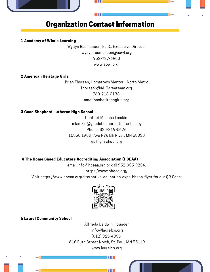

# Organization Contact Information

#### 1 Academy of Whole Learning

Wyayn Rasmussen, Ed.D., Executive Director [wyayn.rasmussen@aowl.org](mailto:wyayn.rasmussen@aowl.org) 952-737-6900 [www.aowl.org](http://www.aowl.org/)

#### 2 American Heritage Girls

Brian Thorsen; Hometown Mentor - North Metro Thorsenb@AHGareateam.org 763-213-3133 a[mericanheritagegirls.org](https://www.americanheritagegirls.org/)

#### 3 Good Shephard Lutheran High School

Contact Melissa Lamkin mlamkin@goodshepherdlutheranhs.org Phone: [320-319-0626](tel:320-319-0626) 15550 190th Ave NW; Elk River, MN 55330 gslhighs[chool](https://www.gslhighschool.org/home).org

#### 4 The Home Based Educators Accrediting Association (HBEAA)

email [info@hbeaa.org](mailto:info@hbeaa.org) or call 952-935-9234. <https://www.hbeaa.org/>

Visit <https://www.hbeaa.org/alternative-education-expo-hbeaa-flyer> for our QR Code:



#### 5 Laurel Community School

Alfrieda [Baldwin,](mailto:info@laurelcs.org) Founder [i](tel:16123254035)[nfo@laurelcs.org](mailto:info@laurelcs.org) (612) [325-4035](tel:16123254035) 616 Ruth Street North, St. Paul, MN [55119](https://goo.gl/maps/K8vB432CT4a6Jna18) www.laurelcs.org

**BB**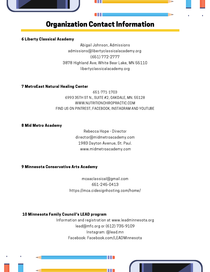

# Organization Contact Information

#### 6 Liberty Classical Academy

Abigail Johnson, Admissions admissions@libertyclassicalacademy.org (651) 772-2777 3878 Highland Ave; White Bear Lake, MN 55110 l[ibertyclassicalacademy](https://libertyclassicalacademy.org/).org

#### 7 MetroEast Natural Healing Center

651-771-1703 6993 35TH ST N., SUITE #2; OAKDALE, MN. 55128 [WWW.NUTRITIONCHIROPRACTIC.COM](http://www.nutritionchiropractic.com/) FIND US ON PINTREST, FACEBOOK, INSTAGRAM AND YOUTUBE

#### 8 Mid Metro Academy

Rebecca Hope - Director [director@midmetroacademy.com](mailto:director@midmetroacademy.com) 1983 Dayton Avenue, St. Paul. [www.midmetroacademy.com](http://www.midmetroacademy.com/)

#### 9 Minnesota Conservative Arts Academy

[mcaaclassical@gmail.com](mailto:mcaaclassical@gmail.com) [651-245-0413](tel:651-245-0413) <https://mca.cidesignhosting.com/home/>

#### 10 Minnesota Family Council's LEAD program

Information and registration at [www.leadminnesota.org](http://www.leadminnesota.org/) lead@mfc.org or (612) 735-9109 Instagram: @lead.mn Facebook: Facebook.com/LEADMinnesota

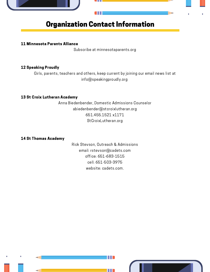

# Organization Contact Information

#### 11 Minnesota Parents Alliance

Subscribe at [minnesotaparents.org](http://minnesotaparents.org/)

#### 12 Speaking Proudly

Girls, parents, teachers and others, keep current by joining our email news list at [info@speakingproudly.org](https://nam12.safelinks.protection.outlook.com/?url=https%3A%2F%2Fspeakingproudly.org%2Fcontact%2F&data=04%7C01%7C%7Cf7d8b03f8d8b40c219df08da1cbec909%7C84df9e7fe9f640afb435aaaaaaaaaaaa%7C1%7C0%7C637853903000402137%7CUnknown%7CTWFpbGZsb3d8eyJWIjoiMC4wLjAwMDAiLCJQIjoiV2luMzIiLCJBTiI6Ik1haWwiLCJXVCI6Mn0%3D%7C3000&sdata=i260woFyi8pPcaPvk%2Fl6HZ05Yi%2FzGaO5j6xKSUOIjSM%3D&reserved=0)

#### 13 St Croix Lutheran Academy

Anna Biedenbender, Domestic Admissions Counselor abiedenbender@stcroixlutheran.org 651.455.1521 x1171 [StCroixLutheran.org](http://www.stcroixlutheran.org/)

#### 14 St Thomas Academy

Rick Stevson, Outreach & Admissions email: [rstevson@cadets.com](mailto:rstevson@cadets.com) office: 651-683-1515 cell: 651-503-3975 website: [cadets.com](http://cadets.com/).

**HHI** 

 $\mathbb{H}$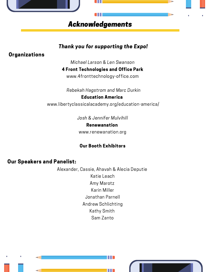

### Thank you for supporting the Expo!

## **Organizations**

Michael Larson & Len Swanson

4 Front Technologies and Office Park

www.[4fronttechnology-office.com](http://www.4fronttechnology-office.com/the-campus.html)

<sup>R</sup>ebekah Hagstrom and Marc Durkin [Ed](http://www.leadminnesota.org/)ucation America [w](https://libertyclassicalacademy.org/education-america/)ww.[libertyclassicalacademy.org/](https://libertyclassicalacademy.org/education-america/)education-america/

> & Jennifer Mulvihill Renewanation www.r[enewanation.](https://www.renewanation.org/about)org

## Our Booth Exhibitors

## Our Speakers and Panelist:

Alexander, Cassie, Ahavah & Alecia Deputie Katie Leach Amy Marotz Karin Miller Jonathan Parnell Andrew Schlichting Kathy Smith Sam Zanto

 $\mathbb{H}$   $\blacksquare$ 

**BBI**